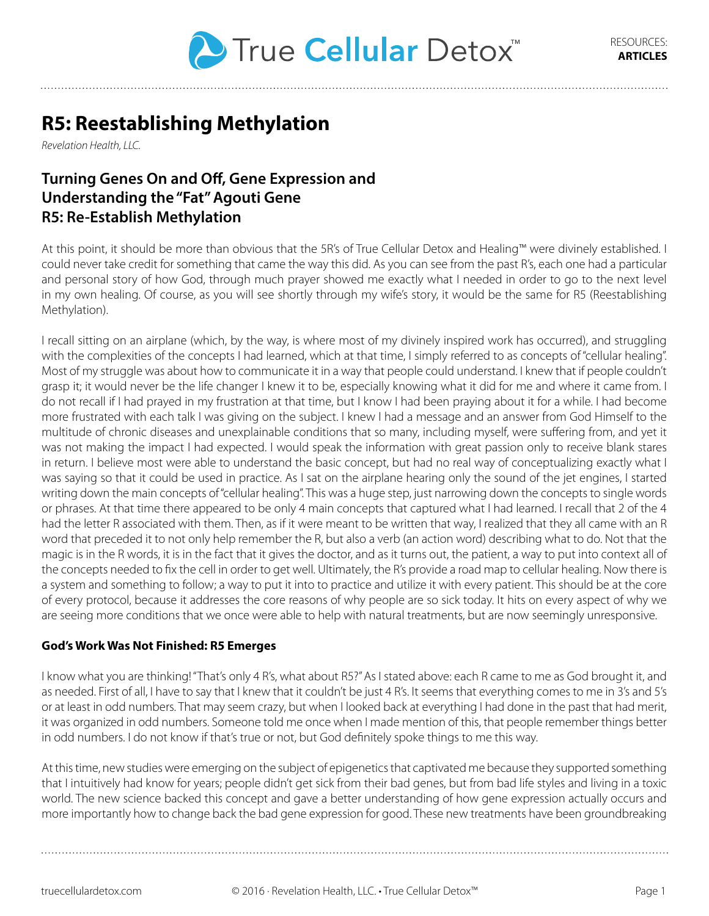

# **R5: Reestablishing Methylation**

*Revelation Health, LLC.*

# **Turning Genes On and Off, Gene Expression and Understanding the "Fat" Agouti Gene R5: Re-Establish Methylation**

At this point, it should be more than obvious that the 5R's of True Cellular Detox and Healing™ were divinely established. I could never take credit for something that came the way this did. As you can see from the past R's, each one had a particular and personal story of how God, through much prayer showed me exactly what I needed in order to go to the next level in my own healing. Of course, as you will see shortly through my wife's story, it would be the same for R5 (Reestablishing Methylation).

I recall sitting on an airplane (which, by the way, is where most of my divinely inspired work has occurred), and struggling with the complexities of the concepts I had learned, which at that time, I simply referred to as concepts of "cellular healing". Most of my struggle was about how to communicate it in a way that people could understand. I knew that if people couldn't grasp it; it would never be the life changer I knew it to be, especially knowing what it did for me and where it came from. I do not recall if I had prayed in my frustration at that time, but I know I had been praying about it for a while. I had become more frustrated with each talk I was giving on the subject. I knew I had a message and an answer from God Himself to the multitude of chronic diseases and unexplainable conditions that so many, including myself, were suffering from, and yet it was not making the impact I had expected. I would speak the information with great passion only to receive blank stares in return. I believe most were able to understand the basic concept, but had no real way of conceptualizing exactly what I was saying so that it could be used in practice. As I sat on the airplane hearing only the sound of the jet engines, I started writing down the main concepts of "cellular healing". This was a huge step, just narrowing down the concepts to single words or phrases. At that time there appeared to be only 4 main concepts that captured what I had learned. I recall that 2 of the 4 had the letter R associated with them. Then, as if it were meant to be written that way, I realized that they all came with an R word that preceded it to not only help remember the R, but also a verb (an action word) describing what to do. Not that the magic is in the R words, it is in the fact that it gives the doctor, and as it turns out, the patient, a way to put into context all of the concepts needed to fix the cell in order to get well. Ultimately, the R's provide a road map to cellular healing. Now there is a system and something to follow; a way to put it into to practice and utilize it with every patient. This should be at the core of every protocol, because it addresses the core reasons of why people are so sick today. It hits on every aspect of why we are seeing more conditions that we once were able to help with natural treatments, but are now seemingly unresponsive.

#### **God's Work Was Not Finished: R5 Emerges**

I know what you are thinking! "That's only 4 R's, what about R5?" As I stated above: each R came to me as God brought it, and as needed. First of all, I have to say that I knew that it couldn't be just 4 R's. It seems that everything comes to me in 3's and 5's or at least in odd numbers. That may seem crazy, but when I looked back at everything I had done in the past that had merit, it was organized in odd numbers. Someone told me once when I made mention of this, that people remember things better in odd numbers. I do not know if that's true or not, but God definitely spoke things to me this way.

At this time, new studies were emerging on the subject of epigenetics that captivated me because they supported something that I intuitively had know for years; people didn't get sick from their bad genes, but from bad life styles and living in a toxic world. The new science backed this concept and gave a better understanding of how gene expression actually occurs and more importantly how to change back the bad gene expression for good. These new treatments have been groundbreaking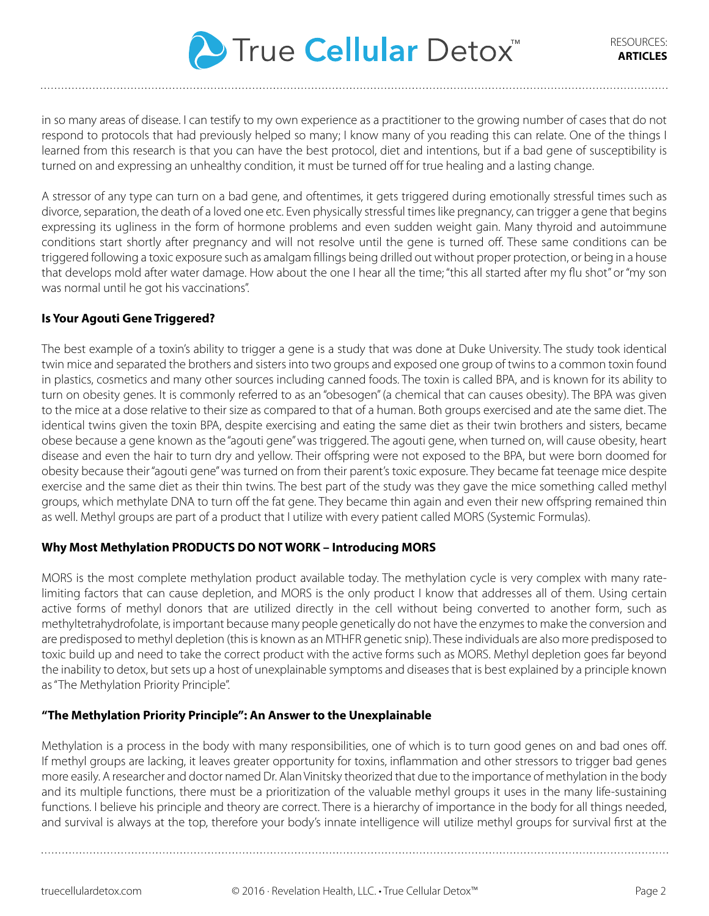

in so many areas of disease. I can testify to my own experience as a practitioner to the growing number of cases that do not respond to protocols that had previously helped so many; I know many of you reading this can relate. One of the things I learned from this research is that you can have the best protocol, diet and intentions, but if a bad gene of susceptibility is turned on and expressing an unhealthy condition, it must be turned off for true healing and a lasting change.

A stressor of any type can turn on a bad gene, and oftentimes, it gets triggered during emotionally stressful times such as divorce, separation, the death of a loved one etc. Even physically stressful times like pregnancy, can trigger a gene that begins expressing its ugliness in the form of hormone problems and even sudden weight gain. Many thyroid and autoimmune conditions start shortly after pregnancy and will not resolve until the gene is turned off. These same conditions can be triggered following a toxic exposure such as amalgam fillings being drilled out without proper protection, or being in a house that develops mold after water damage. How about the one I hear all the time; "this all started after my flu shot" or "my son was normal until he got his vaccinations".

## **Is Your Agouti Gene Triggered?**

The best example of a toxin's ability to trigger a gene is a study that was done at Duke University. The study took identical twin mice and separated the brothers and sisters into two groups and exposed one group of twins to a common toxin found in plastics, cosmetics and many other sources including canned foods. The toxin is called BPA, and is known for its ability to turn on obesity genes. It is commonly referred to as an "obesogen" (a chemical that can causes obesity). The BPA was given to the mice at a dose relative to their size as compared to that of a human. Both groups exercised and ate the same diet. The identical twins given the toxin BPA, despite exercising and eating the same diet as their twin brothers and sisters, became obese because a gene known as the "agouti gene" was triggered. The agouti gene, when turned on, will cause obesity, heart disease and even the hair to turn dry and yellow. Their offspring were not exposed to the BPA, but were born doomed for obesity because their "agouti gene" was turned on from their parent's toxic exposure. They became fat teenage mice despite exercise and the same diet as their thin twins. The best part of the study was they gave the mice something called methyl groups, which methylate DNA to turn off the fat gene. They became thin again and even their new offspring remained thin as well. Methyl groups are part of a product that I utilize with every patient called MORS (Systemic Formulas).

# **Why Most Methylation PRODUCTS DO NOT WORK – Introducing MORS**

MORS is the most complete methylation product available today. The methylation cycle is very complex with many ratelimiting factors that can cause depletion, and MORS is the only product I know that addresses all of them. Using certain active forms of methyl donors that are utilized directly in the cell without being converted to another form, such as methyltetrahydrofolate, is important because many people genetically do not have the enzymes to make the conversion and are predisposed to methyl depletion (this is known as an MTHFR genetic snip). These individuals are also more predisposed to toxic build up and need to take the correct product with the active forms such as MORS. Methyl depletion goes far beyond the inability to detox, but sets up a host of unexplainable symptoms and diseases that is best explained by a principle known as "The Methylation Priority Principle".

#### **"The Methylation Priority Principle": An Answer to the Unexplainable**

Methylation is a process in the body with many responsibilities, one of which is to turn good genes on and bad ones off. If methyl groups are lacking, it leaves greater opportunity for toxins, inflammation and other stressors to trigger bad genes more easily. A researcher and doctor named Dr. Alan Vinitsky theorized that due to the importance of methylation in the body and its multiple functions, there must be a prioritization of the valuable methyl groups it uses in the many life-sustaining functions. I believe his principle and theory are correct. There is a hierarchy of importance in the body for all things needed, and survival is always at the top, therefore your body's innate intelligence will utilize methyl groups for survival first at the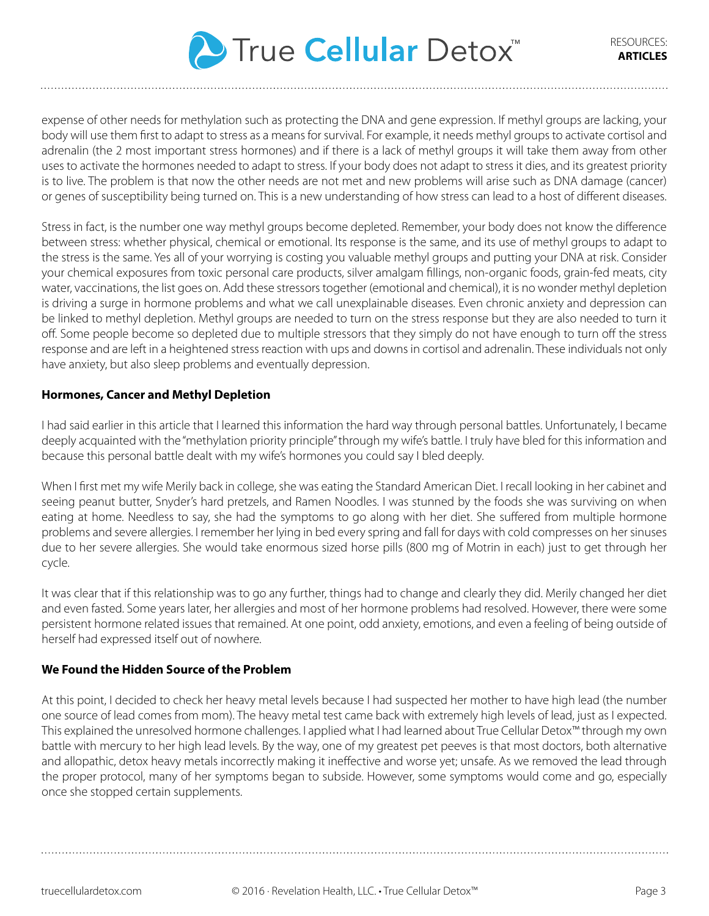

expense of other needs for methylation such as protecting the DNA and gene expression. If methyl groups are lacking, your body will use them first to adapt to stress as a means for survival. For example, it needs methyl groups to activate cortisol and adrenalin (the 2 most important stress hormones) and if there is a lack of methyl groups it will take them away from other uses to activate the hormones needed to adapt to stress. If your body does not adapt to stress it dies, and its greatest priority is to live. The problem is that now the other needs are not met and new problems will arise such as DNA damage (cancer) or genes of susceptibility being turned on. This is a new understanding of how stress can lead to a host of different diseases.

Stress in fact, is the number one way methyl groups become depleted. Remember, your body does not know the difference between stress: whether physical, chemical or emotional. Its response is the same, and its use of methyl groups to adapt to the stress is the same. Yes all of your worrying is costing you valuable methyl groups and putting your DNA at risk. Consider your chemical exposures from toxic personal care products, silver amalgam fillings, non-organic foods, grain-fed meats, city water, vaccinations, the list goes on. Add these stressors together (emotional and chemical), it is no wonder methyl depletion is driving a surge in hormone problems and what we call unexplainable diseases. Even chronic anxiety and depression can be linked to methyl depletion. Methyl groups are needed to turn on the stress response but they are also needed to turn it off. Some people become so depleted due to multiple stressors that they simply do not have enough to turn off the stress response and are left in a heightened stress reaction with ups and downs in cortisol and adrenalin. These individuals not only have anxiety, but also sleep problems and eventually depression.

#### **Hormones, Cancer and Methyl Depletion**

I had said earlier in this article that I learned this information the hard way through personal battles. Unfortunately, I became deeply acquainted with the "methylation priority principle" through my wife's battle. I truly have bled for this information and because this personal battle dealt with my wife's hormones you could say I bled deeply.

When I first met my wife Merily back in college, she was eating the Standard American Diet. I recall looking in her cabinet and seeing peanut butter, Snyder's hard pretzels, and Ramen Noodles. I was stunned by the foods she was surviving on when eating at home. Needless to say, she had the symptoms to go along with her diet. She suffered from multiple hormone problems and severe allergies. I remember her lying in bed every spring and fall for days with cold compresses on her sinuses due to her severe allergies. She would take enormous sized horse pills (800 mg of Motrin in each) just to get through her cycle.

It was clear that if this relationship was to go any further, things had to change and clearly they did. Merily changed her diet and even fasted. Some years later, her allergies and most of her hormone problems had resolved. However, there were some persistent hormone related issues that remained. At one point, odd anxiety, emotions, and even a feeling of being outside of herself had expressed itself out of nowhere.

#### **We Found the Hidden Source of the Problem**

At this point, I decided to check her heavy metal levels because I had suspected her mother to have high lead (the number one source of lead comes from mom). The heavy metal test came back with extremely high levels of lead, just as I expected. This explained the unresolved hormone challenges. I applied what I had learned about True Cellular Detox™ through my own battle with mercury to her high lead levels. By the way, one of my greatest pet peeves is that most doctors, both alternative and allopathic, detox heavy metals incorrectly making it ineffective and worse yet; unsafe. As we removed the lead through the proper protocol, many of her symptoms began to subside. However, some symptoms would come and go, especially once she stopped certain supplements.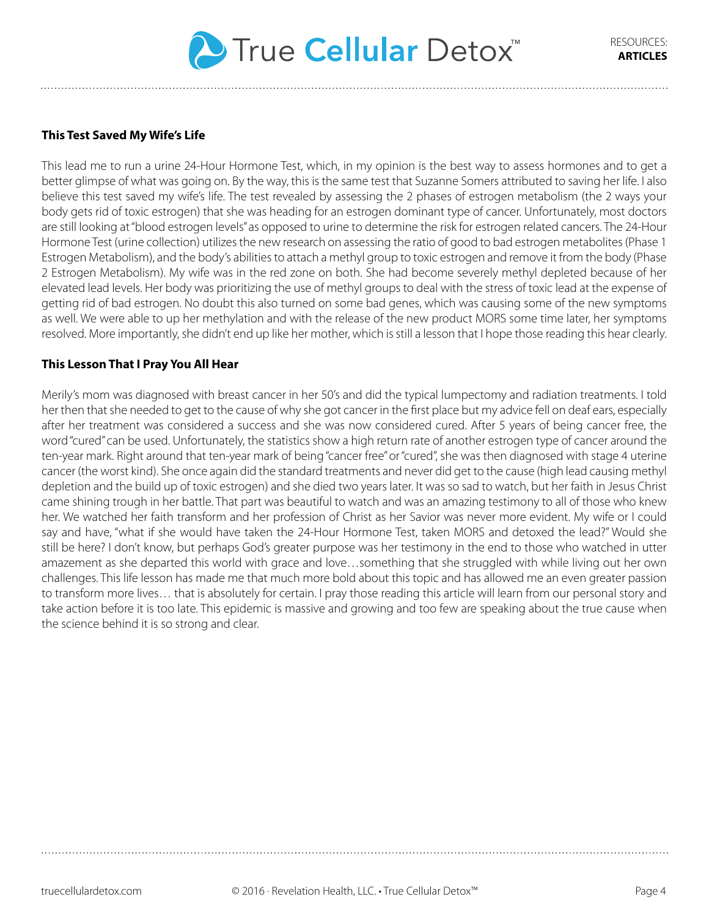

### **This Test Saved My Wife's Life**

This lead me to run a urine 24-Hour Hormone Test, which, in my opinion is the best way to assess hormones and to get a better glimpse of what was going on. By the way, this is the same test that Suzanne Somers attributed to saving her life. I also believe this test saved my wife's life. The test revealed by assessing the 2 phases of estrogen metabolism (the 2 ways your body gets rid of toxic estrogen) that she was heading for an estrogen dominant type of cancer. Unfortunately, most doctors are still looking at "blood estrogen levels" as opposed to urine to determine the risk for estrogen related cancers. The 24-Hour Hormone Test (urine collection) utilizes the new research on assessing the ratio of good to bad estrogen metabolites (Phase 1 Estrogen Metabolism), and the body's abilities to attach a methyl group to toxic estrogen and remove it from the body (Phase 2 Estrogen Metabolism). My wife was in the red zone on both. She had become severely methyl depleted because of her elevated lead levels. Her body was prioritizing the use of methyl groups to deal with the stress of toxic lead at the expense of getting rid of bad estrogen. No doubt this also turned on some bad genes, which was causing some of the new symptoms as well. We were able to up her methylation and with the release of the new product MORS some time later, her symptoms resolved. More importantly, she didn't end up like her mother, which is still a lesson that I hope those reading this hear clearly.

#### **This Lesson That I Pray You All Hear**

Merily's mom was diagnosed with breast cancer in her 50's and did the typical lumpectomy and radiation treatments. I told her then that she needed to get to the cause of why she got cancer in the first place but my advice fell on deaf ears, especially after her treatment was considered a success and she was now considered cured. After 5 years of being cancer free, the word "cured" can be used. Unfortunately, the statistics show a high return rate of another estrogen type of cancer around the ten-year mark. Right around that ten-year mark of being "cancer free" or "cured", she was then diagnosed with stage 4 uterine cancer (the worst kind). She once again did the standard treatments and never did get to the cause (high lead causing methyl depletion and the build up of toxic estrogen) and she died two years later. It was so sad to watch, but her faith in Jesus Christ came shining trough in her battle. That part was beautiful to watch and was an amazing testimony to all of those who knew her. We watched her faith transform and her profession of Christ as her Savior was never more evident. My wife or I could say and have, "what if she would have taken the 24-Hour Hormone Test, taken MORS and detoxed the lead?" Would she still be here? I don't know, but perhaps God's greater purpose was her testimony in the end to those who watched in utter amazement as she departed this world with grace and love…something that she struggled with while living out her own challenges. This life lesson has made me that much more bold about this topic and has allowed me an even greater passion to transform more lives… that is absolutely for certain. I pray those reading this article will learn from our personal story and take action before it is too late. This epidemic is massive and growing and too few are speaking about the true cause when the science behind it is so strong and clear.